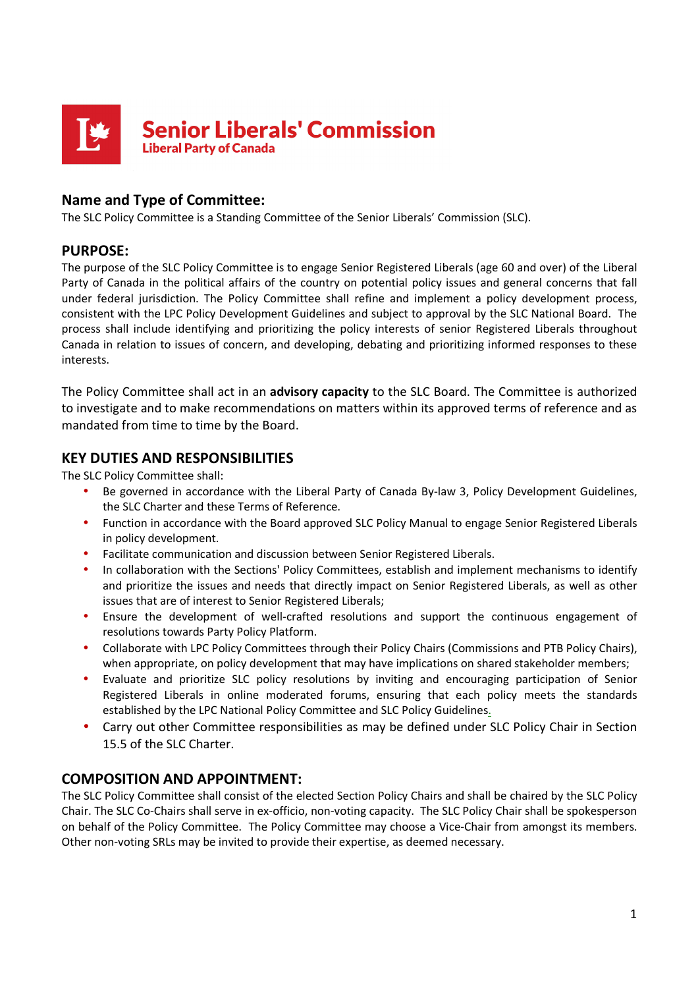

# **Name and Type of Committee:**

The SLC Policy Committee is a Standing Committee of the Senior Liberals' Commission (SLC).

### **PURPOSE:**

The purpose of the SLC Policy Committee is to engage Senior Registered Liberals (age 60 and over) of the Liberal Party of Canada in the political affairs of the country on potential policy issues and general concerns that fall under federal jurisdiction. The Policy Committee shall refine and implement a policy development process, consistent with the LPC Policy Development Guidelines and subject to approval by the SLC National Board. The process shall include identifying and prioritizing the policy interests of senior Registered Liberals throughout Canada in relation to issues of concern, and developing, debating and prioritizing informed responses to these interests.

The Policy Committee shall act in an **advisory capacity** to the SLC Board. The Committee is authorized to investigate and to make recommendations on matters within its approved terms of reference and as mandated from time to time by the Board.

### **KEY DUTIES AND RESPONSIBILITIES**

The SLC Policy Committee shall:

- Be governed in accordance with the Liberal Party of Canada By-law 3, Policy Development Guidelines, the SLC Charter and these Terms of Reference.
- Function in accordance with the Board approved SLC Policy Manual to engage Senior Registered Liberals in policy development.
- Facilitate communication and discussion between Senior Registered Liberals.
- In collaboration with the Sections' Policy Committees, establish and implement mechanisms to identify and prioritize the issues and needs that directly impact on Senior Registered Liberals, as well as other issues that are of interest to Senior Registered Liberals;
- Ensure the development of well-crafted resolutions and support the continuous engagement of resolutions towards Party Policy Platform.
- Collaborate with LPC Policy Committees through their Policy Chairs (Commissions and PTB Policy Chairs), when appropriate, on policy development that may have implications on shared stakeholder members;
- Evaluate and prioritize SLC policy resolutions by inviting and encouraging participation of Senior Registered Liberals in online moderated forums, ensuring that each policy meets the standards established by the LPC National Policy Committee and SLC Policy Guidelines.
- Carry out other Committee responsibilities as may be defined under SLC Policy Chair in Section 15.5 of the SLC Charter.

### **COMPOSITION AND APPOINTMENT:**

The SLC Policy Committee shall consist of the elected Section Policy Chairs and shall be chaired by the SLC Policy Chair. The SLC Co-Chairs shall serve in ex-officio, non-voting capacity. The SLC Policy Chair shall be spokesperson on behalf of the Policy Committee. The Policy Committee may choose a Vice-Chair from amongst its members. Other non-voting SRLs may be invited to provide their expertise, as deemed necessary.